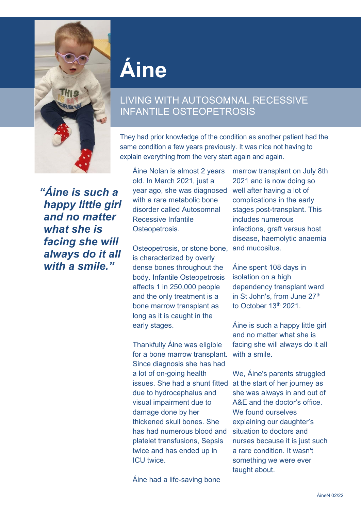

## **Áine**

## LIVING WITH AUTOSOMNAL RECESSIVE INFANTILE OSTEOPETROSIS

They had prior knowledge of the condition as another patient had the same condition a few years previously. It was nice not having to explain everything from the very start again and again.

*"Áine is such a happy little girl and no matter what she is facing she will always do it all with a smile."*

Áine Nolan is almost 2 years old. In March 2021, just a year ago, she was diagnosed with a rare metabolic bone disorder called Autosomnal Recessive Infantile Osteopetrosis.

Osteopetrosis, or stone bone, and mucositus. is characterized by overly dense bones throughout the body. Infantile Osteopetrosis affects 1 in 250,000 people and the only treatment is a bone marrow transplant as long as it is caught in the early stages.

Thankfully Áine was eligible for a bone marrow transplant. Since diagnosis she has had a lot of on-going health issues. She had a shunt fitted at the start of her journey as due to hydrocephalus and visual impairment due to damage done by her thickened skull bones. She has had numerous blood and platelet transfusions, Sepsis twice and has ended up in ICU twice.

Áine had a life-saving bone

marrow transplant on July 8th 2021 and is now doing so well after having a lot of complications in the early stages post-transplant. This includes numerous infections, graft versus host disease, haemolytic anaemia

Áine spent 108 days in isolation on a high dependency transplant ward in St John's, from June 27<sup>th</sup> to October 13<sup>th</sup> 2021

Áine is such a happy little girl and no matter what she is facing she will always do it all with a smile.

We, Áine's parents struggled she was always in and out of A&E and the doctor's office. We found ourselves explaining our daughter's situation to doctors and nurses because it is just such a rare condition. It wasn't something we were ever taught about.